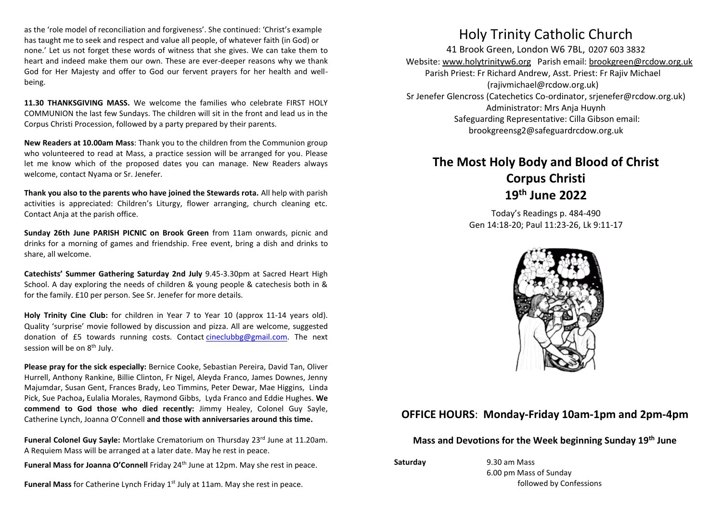as the 'role model of reconciliation and forgiveness'. She continued: 'Christ's example has taught me to seek and respect and value all people, of whatever faith (in God) or none.' Let us not forget these words of witness that she gives. We can take them to heart and indeed make them our own. These are ever-deeper reasons why we thank God for Her Majesty and offer to God our fervent prayers for her health and wellbeing.

**11.30 THANKSGIVING MASS.** We welcome the families who celebrate FIRST HOLY COMMUNION the last few Sundays. The children will sit in the front and lead us in the Corpus Christi Procession, followed by a party prepared by their parents.

**New Readers at 10.00am Mass**: Thank you to the children from the Communion group who volunteered to read at Mass, a practice session will be arranged for you. Please let me know which of the proposed dates you can manage. New Readers always welcome, contact Nyama or Sr. Jenefer.

**Thank you also to the parents who have joined the Stewards rota.** All help with parish activities is appreciated: Children's Liturgy, flower arranging, church cleaning etc. Contact Anja at the parish office.

**Sunday 26th June PARISH PICNIC on Brook Green** from 11am onwards, picnic and drinks for a morning of games and friendship. Free event, bring a dish and drinks to share, all welcome.

**Catechists' Summer Gathering Saturday 2nd July** 9.45-3.30pm at Sacred Heart High School. A day exploring the needs of children & young people & catechesis both in & for the family. £10 per person. See Sr. Jenefer for more details.

**Holy Trinity Cine Club:** for children in Year 7 to Year 10 (approx 11-14 years old). Quality 'surprise' movie followed by discussion and pizza. All are welcome, suggested donation of £5 towards running costs. Contact [cineclubbg@gmail.com.](mailto:cineclubbg@gmail.com) The next session will be on 8<sup>th</sup> July.

**Please pray for the sick especially:** Bernice Cooke, Sebastian Pereira, David Tan, Oliver Hurrell, Anthony Rankine, Billie Clinton, Fr Nigel, Aleyda Franco, James Downes, Jenny Majumdar, Susan Gent, Frances Brady, Leo Timmins, Peter Dewar, Mae Higgins, Linda Pick, Sue Pachoa**,** Eulalia Morales, Raymond Gibbs, Lyda Franco and Eddie Hughes. **We commend to God those who died recently:** Jimmy Healey, Colonel Guy Sayle, Catherine Lynch, Joanna O'Connell **and those with anniversaries around this time.**

Funeral Colonel Guy Sayle: Mortlake Crematorium on Thursday 23<sup>rd</sup> June at 11.20am. A Requiem Mass will be arranged at a later date. May he rest in peace.

**Funeral Mass for Joanna O'Connell** Friday 24th June at 12pm. May she rest in peace.

**Funeral Mass** for Catherine Lynch Friday 1st July at 11am. May she rest in peace.

## Holy Trinity Catholic Church

41 Brook Green, London W6 7BL, 0207 603 3832 Website[: www.holytrinityw6.org](http://www.holytrinityw6.org/) Parish email[: brookgreen@rcdow.org.uk](mailto:brookgreen@rcdow.org.uk) Parish Priest: Fr Richard Andrew, Asst. Priest: Fr Rajiv Michael (rajivmichael@rcdow.org.uk) Sr Jenefer Glencross (Catechetics Co-ordinator, srjenefer@rcdow.org.uk) Administrator: Mrs Anja Huynh Safeguarding Representative: Cilla Gibson email: brookgreensg2@safeguardrcdow.org.uk

# **The Most Holy Body and Blood of Christ Corpus Christi 19 th June 2022**

Today's Readings p. 484-490 Gen 14:18-20; Paul 11:23-26, Lk 9:11-17



### **OFFICE HOURS**: **Monday-Friday 10am-1pm and 2pm-4pm**

**Mass and Devotions for the Week beginning Sunday 19 th June**

**Saturday** 9.30 am Mass 6.00 pm Mass of Sunday followed by Confessions